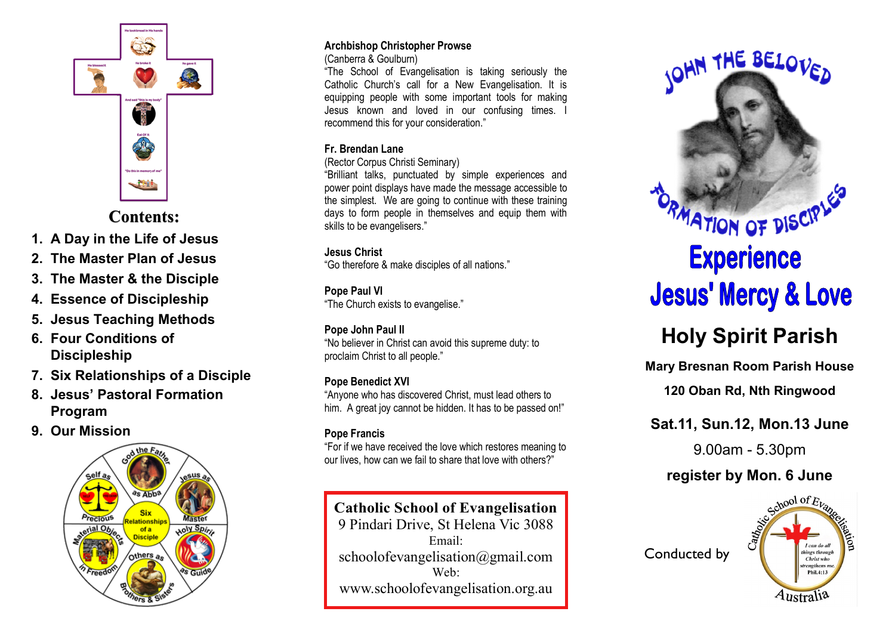

## **Contents:**

- **1. A Day in the Life of Jesus**
- **2. The Master Plan of Jesus**
- **3. The Master & the Disciple**
- **4. Essence of Discipleship**
- **5. Jesus Teaching Methods**
- **6. Four Conditions of Discipleship**
- **7. Six Relationships of a Disciple**
- **8. Jesus' Pastoral Formation Program**
- **9. Our Mission**



### **Archbishop Christopher Prowse**

(Canberra & Goulburn)

"The School of Evangelisation is taking seriously the Catholic Church's call for a New Evangelisation. It is equipping people with some important tools for making Jesus known and loved in our confusing times. I recommend this for your consideration."

### **Fr. Brendan Lane**

(Rector Corpus Christi Seminary)

"Brilliant talks, punctuated by simple experiences and power point displays have made the message accessible to the simplest. We are going to continue with these training days to form people in themselves and equip them with skills to be evangelisers."

### **Jesus Christ**

"Go therefore & make disciples of all nations."

## **Pope Paul VI**

"The Church exists to evangelise."

## **Pope John Paul II**

"No believer in Christ can avoid this supreme duty: to proclaim Christ to all people."

## **Pope Benedict XVI**

"Anyone who has discovered Christ, must lead others to him. A great joy cannot be hidden. It has to be passed on!"

## **Pope Francis**

"For if we have received the love which restores meaning to our lives, how can we fail to share that love with others?"

## **Catholic School of Evangelisation**

9 Pindari Drive, St Helena Vic 3088 Email: schoolofevangelisation@gmail.com Web: www.schoolofevangelisation.org.au



# **Holy Spirit Parish**

**Mary Bresnan Room Parish House**

**120 Oban Rd, Nth Ringwood**

# **Sat.11, Sun.12, Mon.13 June**

9.00am - 5.30pm

# **register by Mon. 6 June**



Conducted by